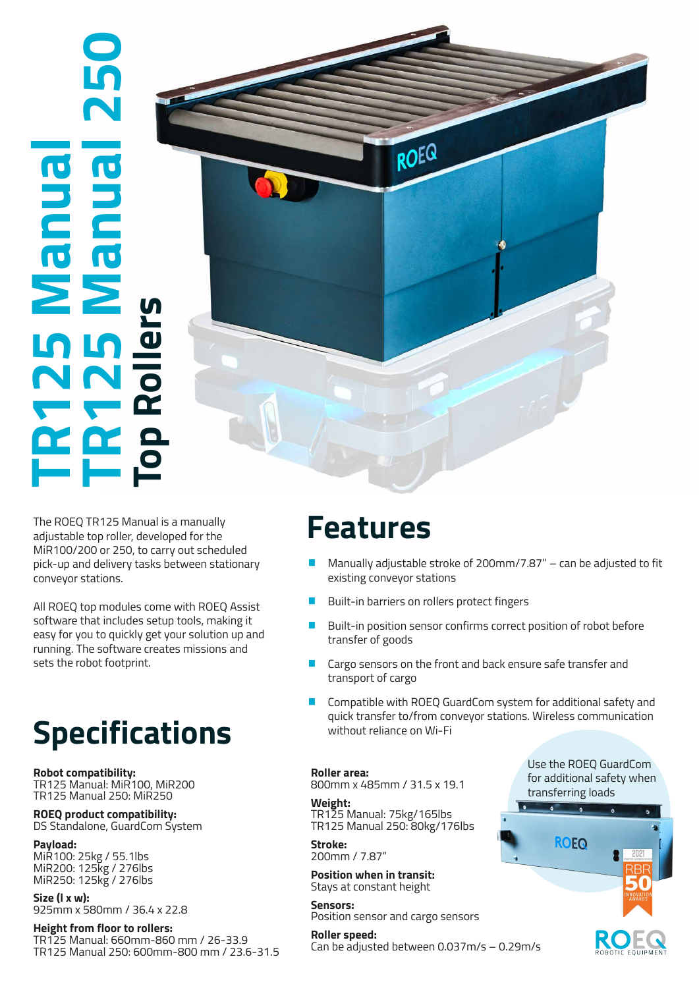# **TR125 Manual 250 TR125 Manual Ienual**<br>Ienual **Top Rollers**



The ROEQ TR125 Manual is a manually<br> **Features** adjustable top roller, developed for the MiR100/200 or 250, to carry out scheduled pick-up and delivery tasks between stationary conveyor stations.

All ROEQ top modules come with ROEQ Assist software that includes setup tools, making it easy for you to quickly get your solution up and running. The software creates missions and sets the robot footprint.

# **Specifications**

**Robot compatibility:** TR125 Manual: MiR100, MiR200 TR125 Manual 250: MiR250

**ROEQ product compatibility:**  DS Standalone, GuardCom System

**Payload:** MiR100: 25kg / 55.1lbs MiR200: 125kg / 276lbs MiR250: 125kg / 276lbs

**Size (l x w):**  925mm x 580mm / 36.4 x 22.8

**Height from floor to rollers:** TR125 Manual: 660mm-860 mm / 26-33.9 TR125 Manual 250: 600mm-800 mm / 23.6-31.5

- Manually adjustable stroke of 200mm/7.87" can be adjusted to fit existing conveyor stations
- Built-in barriers on rollers protect fingers
- Built-in position sensor confirms correct position of robot before transfer of goods
- Cargo sensors on the front and back ensure safe transfer and transport of cargo
- Compatible with ROEQ GuardCom system for additional safety and quick transfer to/from conveyor stations. Wireless communication without reliance on Wi-Fi

### **Roller area:**

800mm x 485mm / 31.5 x 19.1

**Weight:** TR125 Manual: 75kg/165lbs TR125 Manual 250: 80kg/176lbs

**Stroke:** 200mm / 7.87"

**Position when in transit:**  Stays at constant height

**Sensors:** Position sensor and cargo sensors

**Roller speed:**  Can be adjusted between 0.037m/s – 0.29m/s



Use the ROEQ GuardCom